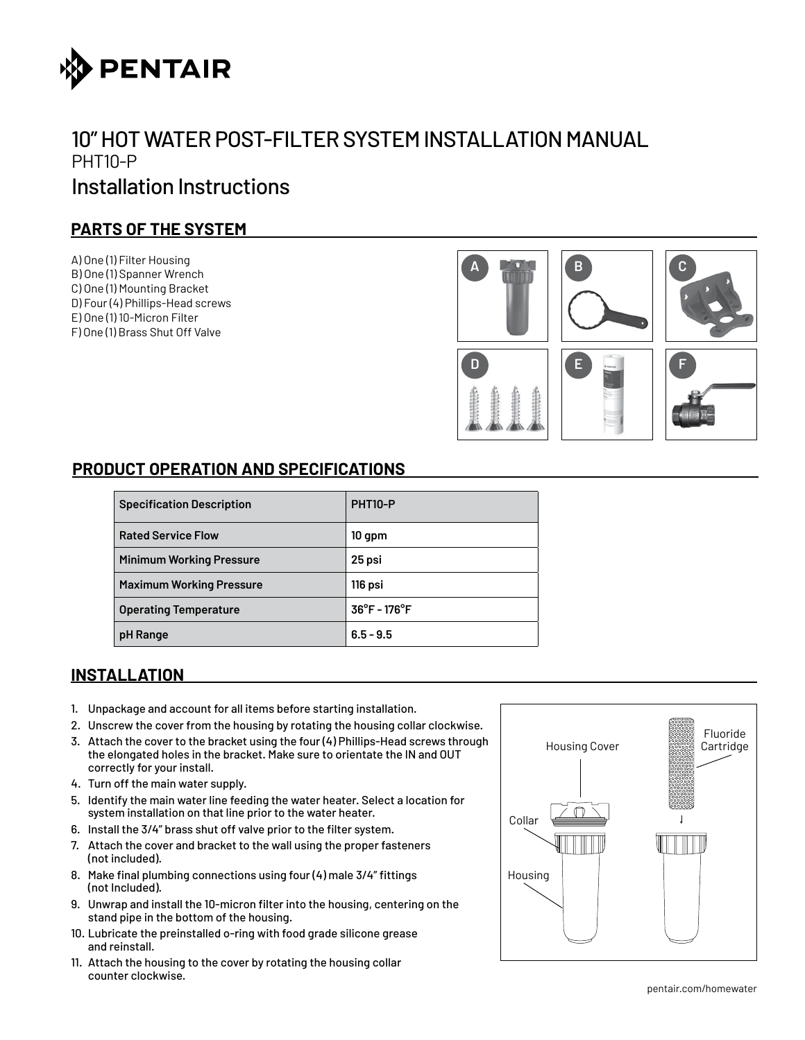

## 10" HOT WATER POST-FILTER SYSTEM INSTALLATION MANUAL PHT10-P Installation Instructions

## **PARTS OF THE SYSTEM**

A) One (1) Filter Housing B) One (1) Spanner Wrench C) One (1) Mounting Bracket D) Four (4) Phillips-Head screws E) One (1) 10-Micron Filter F) One (1) Brass Shut Off Valve



## **PRODUCT OPERATION AND SPECIFICATIONS**

| <b>Specification Description</b> | PHT <sub>10</sub> -P              |
|----------------------------------|-----------------------------------|
| <b>Rated Service Flow</b>        | $10$ gpm                          |
| <b>Minimum Working Pressure</b>  | 25 psi                            |
| <b>Maximum Working Pressure</b>  | 116 psi                           |
| <b>Operating Temperature</b>     | $36^{\circ}$ F - 176 $^{\circ}$ F |
| pH Range                         | $6.5 - 9.5$                       |

## **INSTALLATION**

- 1. Unpackage and account for all items before starting installation.
- 2. Unscrew the cover from the housing by rotating the housing collar clockwise.
- 3. Attach the cover to the bracket using the four (4) Phillips-Head screws through the elongated holes in the bracket. Make sure to orientate the IN and OUT correctly for your install.
- 4. Turn off the main water supply.
- 5. Identify the main water line feeding the water heater. Select a location for system installation on that line prior to the water heater.
- 6. Install the 3/4" brass shut off valve prior to the filter system.
- 7. Attach the cover and bracket to the wall using the proper fasteners (not included).
- 8. Make final plumbing connections using four (4) male 3/4" fittings (not Included).
- 9. Unwrap and install the 10-micron filter into the housing, centering on the stand pipe in the bottom of the housing.
- 10. Lubricate the preinstalled o-ring with food grade silicone grease and reinstall.
- 11. Attach the housing to the cover by rotating the housing collar counter clockwise.